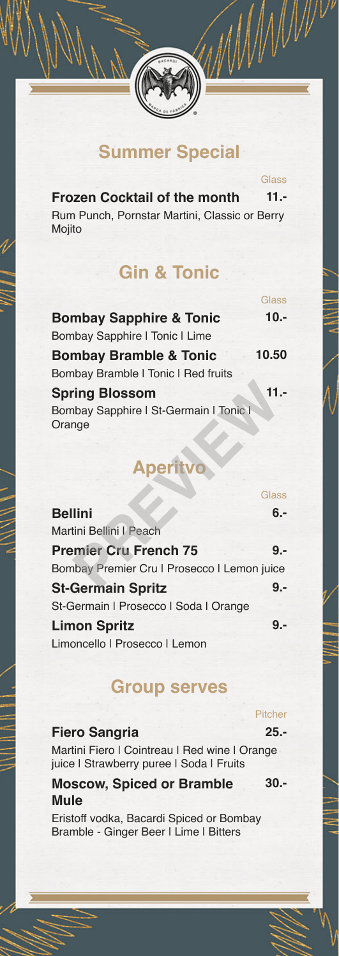### **Summer Special**

**Glass** 

WWW

| <b>Frozen Cocktail of the month</b>           | 11.- |
|-----------------------------------------------|------|
| Rum Punch, Pornstar Martini, Classic or Berry |      |
| Mojito                                        |      |

# **Gin & Tonic**

|                                                  | Glass   |
|--------------------------------------------------|---------|
| <b>Bombay Sapphire &amp; Tonic</b>               | $10 -$  |
| <b>Bombay Sapphire   Tonic   Lime</b>            |         |
| <b>Bombay Bramble &amp; Tonic</b>                | 10.50   |
| Bombay Bramble   Tonic   Red fruits              |         |
| <b>Spring Blossom</b>                            | $11. -$ |
| Bombay Sapphire   St-Germain   Tonic  <br>Orange |         |

| <b>Spring Blossom</b><br>Bombay Sapphire   St-Germain   Tonic  <br>Orange |              |
|---------------------------------------------------------------------------|--------------|
| <b>Aperitvo</b>                                                           |              |
|                                                                           | <b>Glass</b> |
| <b>Bellini</b>                                                            | 6.-          |
| Martini Bellini I Peach                                                   |              |
| <b>Premier Cru French 75</b>                                              | 9.-          |
| Bombay Premier Cru I Prosecco I Lemon juice                               |              |
| <b>St-Germain Spritz</b>                                                  | 9.-          |
| St-Germain   Prosecco   Soda   Orange                                     |              |
| <b>Limon Spritz</b>                                                       | <u>g -</u>   |
| Limoncello   Prosecco   Lemon                                             |              |
|                                                                           |              |

### **Group serves**

#### **Fiero Sangria 25.-**

Pitcher

Martini Fiero I Cointreau I Red wine I Orange juice | Strawberry puree | Soda | Fruits

#### **Moscow, Spiced or Bramble Mule**

Eristoff vodka, Bacardi Spiced or Bombay Bramble - Ginger Beer | Lime | Bitters

**30.-**